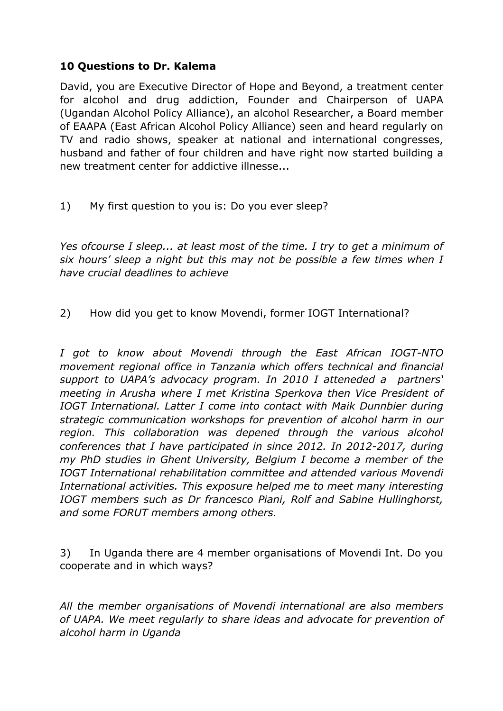## **10 Questions to Dr. Kalema**

David, you are Executive Director of Hope and Beyond, a treatment center for alcohol and drug addiction, Founder and Chairperson of UAPA (Ugandan Alcohol Policy Alliance), an alcohol Researcher, a Board member of EAAPA (East African Alcohol Policy Alliance) seen and heard regularly on TV and radio shows, speaker at national and international congresses, husband and father of four children and have right now started building a new treatment center for addictive illnesse...

1) My first question to you is: Do you ever sleep?

*Yes ofcourse I sleep... at least most of the time. I try to get a minimum of six hours' sleep a night but this may not be possible a few times when I have crucial deadlines to achieve*

2) How did you get to know Movendi, former IOGT International?

*I got to know about Movendi through the East African IOGT-NTO movement regional office in Tanzania which offers technical and financial support to UAPA's advocacy program. In 2010 I atteneded a partners' meeting in Arusha where I met Kristina Sperkova then Vice President of IOGT International. Latter I come into contact with Maik Dunnbier during strategic communication workshops for prevention of alcohol harm in our region. This collaboration was depened through the various alcohol conferences that I have participated in since 2012. In 2012-2017, during my PhD studies in Ghent University, Belgium I become a member of the IOGT International rehabilitation committee and attended various Movendi International activities. This exposure helped me to meet many interesting IOGT members such as Dr francesco Piani, Rolf and Sabine Hullinghorst, and some FORUT members among others.* 

3) In Uganda there are 4 member organisations of Movendi Int. Do you cooperate and in which ways?

*All the member organisations of Movendi international are also members of UAPA. We meet regularly to share ideas and advocate for prevention of alcohol harm in Uganda*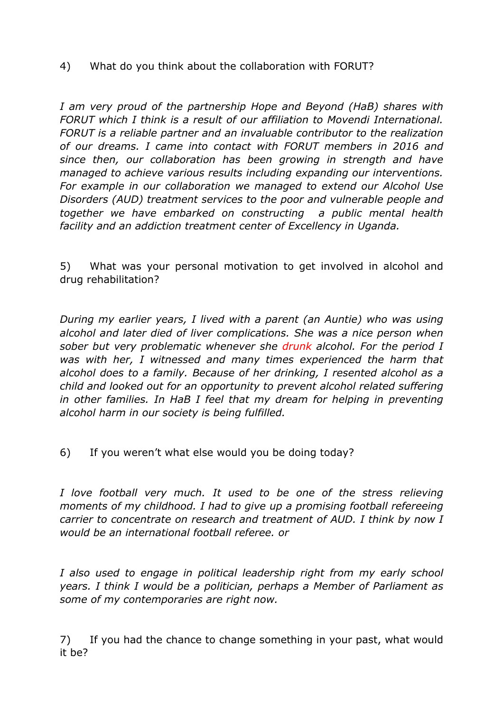4) What do you think about the collaboration with FORUT?

*I am very proud of the partnership Hope and Beyond (HaB) shares with FORUT which I think is a result of our affiliation to Movendi International. FORUT is a reliable partner and an invaluable contributor to the realization of our dreams. I came into contact with FORUT members in 2016 and since then, our collaboration has been growing in strength and have managed to achieve various results including expanding our interventions. For example in our collaboration we managed to extend our Alcohol Use Disorders (AUD) treatment services to the poor and vulnerable people and together we have embarked on constructing a public mental health facility and an addiction treatment center of Excellency in Uganda.* 

5) What was your personal motivation to get involved in alcohol and drug rehabilitation?

*During my earlier years, I lived with a parent (an Auntie) who was using alcohol and later died of liver complications. She was a nice person when sober but very problematic whenever she drunk alcohol. For the period I was with her, I witnessed and many times experienced the harm that alcohol does to a family. Because of her drinking, I resented alcohol as a child and looked out for an opportunity to prevent alcohol related suffering in other families. In HaB I feel that my dream for helping in preventing alcohol harm in our society is being fulfilled.*

6) If you weren't what else would you be doing today?

*I love football very much. It used to be one of the stress relieving moments of my childhood. I had to give up a promising football refereeing carrier to concentrate on research and treatment of AUD. I think by now I would be an international football referee. or*

*I also used to engage in political leadership right from my early school years. I think I would be a politician, perhaps a Member of Parliament as some of my contemporaries are right now.*

7) If you had the chance to change something in your past, what would it be?